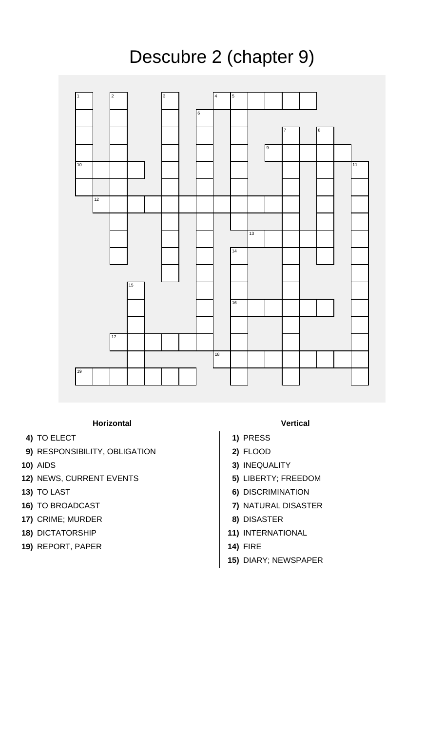

## **Horizontal Vertical**

- **4)** TO ELECT **1)** PRESS
- **9)** RESPONSIBILITY, OBLIGATION **2)** FLOOD
- 
- **12)** NEWS, CURRENT EVENTS **5)** LIBERTY; FREEDOM
- 
- 
- **17)** CRIME; MURDER **8)** DISASTER
- 
- **19)** REPORT, PAPER **14)** FIRE

- 
- 
- **10)** AIDS **3)** INEQUALITY
	-
- **13)** TO LAST **6)** DISCRIMINATION
- **16)** TO BROADCAST **7)** NATURAL DISASTER
	-
- **18)** DICTATORSHIP **11)** INTERNATIONAL
	-
	- **15)** DIARY; NEWSPAPER